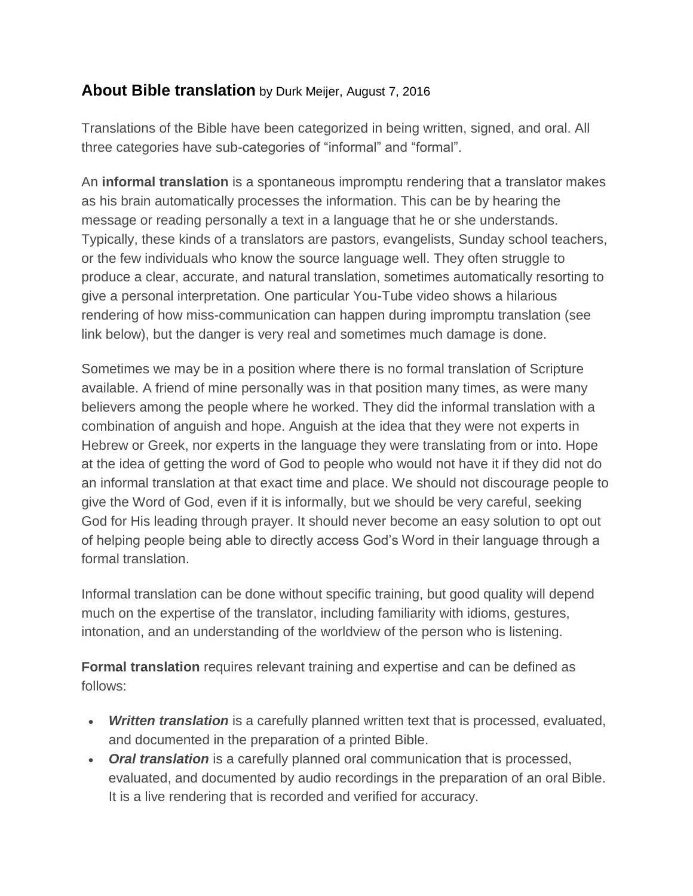## **About Bible translation** by Durk Meijer, August 7, 2016

Translations of the Bible have been categorized in being written, signed, and oral. All three categories have sub-categories of "informal" and "formal".

An **informal translation** is a spontaneous impromptu rendering that a translator makes as his brain automatically processes the information. This can be by hearing the message or reading personally a text in a language that he or she understands. Typically, these kinds of a translators are pastors, evangelists, Sunday school teachers, or the few individuals who know the source language well. They often struggle to produce a clear, accurate, and natural translation, sometimes automatically resorting to give a personal interpretation. One particular You-Tube video shows a hilarious rendering of how miss-communication can happen during impromptu translation (see link below), but the danger is very real and sometimes much damage is done.

Sometimes we may be in a position where there is no formal translation of Scripture available. A friend of mine personally was in that position many times, as were many believers among the people where he worked. They did the informal translation with a combination of anguish and hope. Anguish at the idea that they were not experts in Hebrew or Greek, nor experts in the language they were translating from or into. Hope at the idea of getting the word of God to people who would not have it if they did not do an informal translation at that exact time and place. We should not discourage people to give the Word of God, even if it is informally, but we should be very careful, seeking God for His leading through prayer. It should never become an easy solution to opt out of helping people being able to directly access God's Word in their language through a formal translation.

Informal translation can be done without specific training, but good quality will depend much on the expertise of the translator, including familiarity with idioms, gestures, intonation, and an understanding of the worldview of the person who is listening.

**Formal translation** requires relevant training and expertise and can be defined as follows:

- *Written translation* is a carefully planned written text that is processed, evaluated, and documented in the preparation of a printed Bible.
- *Oral translation* is a carefully planned oral communication that is processed, evaluated, and documented by audio recordings in the preparation of an oral Bible. It is a live rendering that is recorded and verified for accuracy.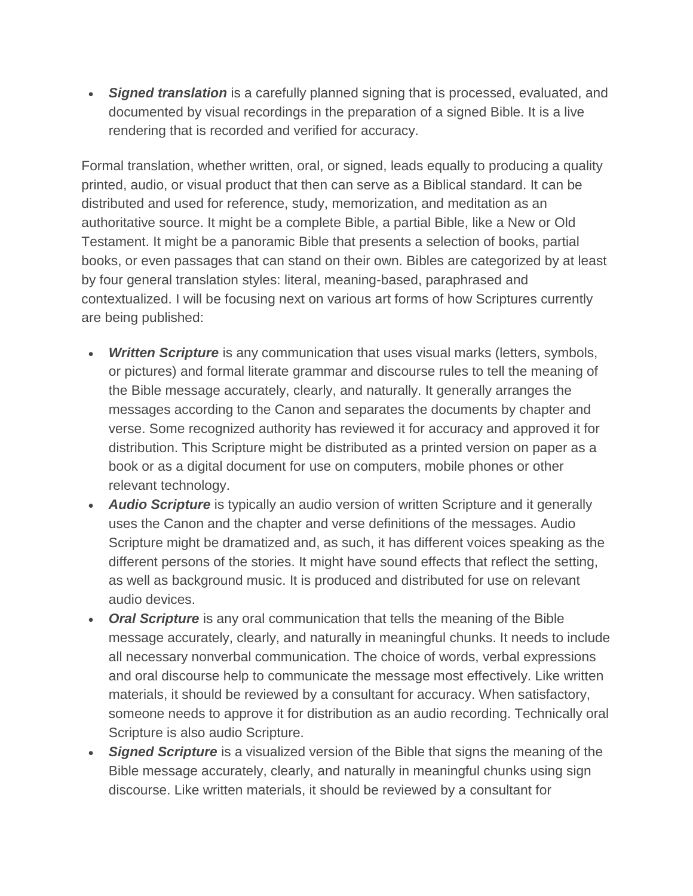*Signed translation* is a carefully planned signing that is processed, evaluated, and documented by visual recordings in the preparation of a signed Bible. It is a live rendering that is recorded and verified for accuracy.

Formal translation, whether written, oral, or signed, leads equally to producing a quality printed, audio, or visual product that then can serve as a Biblical standard. It can be distributed and used for reference, study, memorization, and meditation as an authoritative source. It might be a complete Bible, a partial Bible, like a New or Old Testament. It might be a panoramic Bible that presents a selection of books, partial books, or even passages that can stand on their own. Bibles are categorized by at least by four general translation styles: literal, meaning-based, paraphrased and contextualized. I will be focusing next on various art forms of how Scriptures currently are being published:

- *Written Scripture* is any communication that uses visual marks (letters, symbols, or pictures) and formal literate grammar and discourse rules to tell the meaning of the Bible message accurately, clearly, and naturally. It generally arranges the messages according to the Canon and separates the documents by chapter and verse. Some recognized authority has reviewed it for accuracy and approved it for distribution. This Scripture might be distributed as a printed version on paper as a book or as a digital document for use on computers, mobile phones or other relevant technology.
- *Audio Scripture* is typically an audio version of written Scripture and it generally uses the Canon and the chapter and verse definitions of the messages. Audio Scripture might be dramatized and, as such, it has different voices speaking as the different persons of the stories. It might have sound effects that reflect the setting, as well as background music. It is produced and distributed for use on relevant audio devices.
- *Oral Scripture* is any oral communication that tells the meaning of the Bible message accurately, clearly, and naturally in meaningful chunks. It needs to include all necessary nonverbal communication. The choice of words, verbal expressions and oral discourse help to communicate the message most effectively. Like written materials, it should be reviewed by a consultant for accuracy. When satisfactory, someone needs to approve it for distribution as an audio recording. Technically oral Scripture is also audio Scripture.
- **Signed Scripture** is a visualized version of the Bible that signs the meaning of the Bible message accurately, clearly, and naturally in meaningful chunks using sign discourse. Like written materials, it should be reviewed by a consultant for